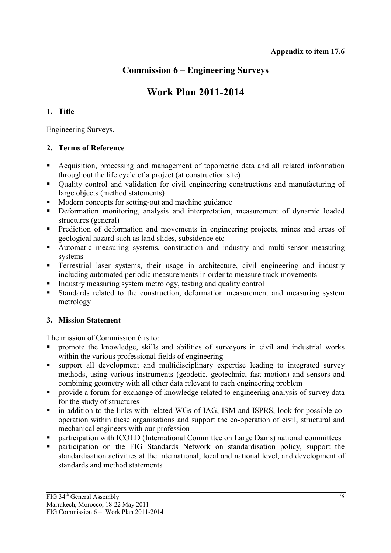## **Commission 6 – Engineering Surveys**

# **Work Plan 2011-2014**

## **1. Title**

Engineering Surveys.

## **2. Terms of Reference**

- Acquisition, processing and management of topometric data and all related information throughout the life cycle of a project (at construction site)
- Quality control and validation for civil engineering constructions and manufacturing of large objects (method statements)
- Modern concepts for setting-out and machine guidance
- Deformation monitoring, analysis and interpretation, measurement of dynamic loaded structures (general)
- **Prediction of deformation and movements in engineering projects, mines and areas of** geological hazard such as land slides, subsidence etc
- Automatic measuring systems, construction and industry and multi-sensor measuring systems
- **Terrestrial laser systems, their usage in architecture, civil engineering and industry** including automated periodic measurements in order to measure track movements
- Industry measuring system metrology, testing and quality control
- Standards related to the construction, deformation measurement and measuring system metrology

## **3. Mission Statement**

The mission of Commission 6 is to:

- promote the knowledge, skills and abilities of surveyors in civil and industrial works within the various professional fields of engineering
- support all development and multidisciplinary expertise leading to integrated survey methods, using various instruments (geodetic, geotechnic, fast motion) and sensors and combining geometry with all other data relevant to each engineering problem
- **Perovide a forum for exchange of knowledge related to engineering analysis of survey data** for the study of structures
- in addition to the links with related WGs of IAG, ISM and ISPRS, look for possible cooperation within these organisations and support the co-operation of civil, structural and mechanical engineers with our profession
- participation with ICOLD (International Committee on Large Dams) national committees
- **Participation on the FIG Standards Network on standardisation policy, support the** standardisation activities at the international, local and national level, and development of standards and method statements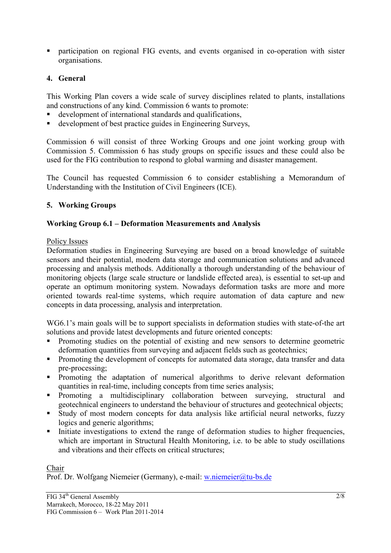participation on regional FIG events, and events organised in co-operation with sister organisations.

## **4. General**

This Working Plan covers a wide scale of survey disciplines related to plants, installations and constructions of any kind. Commission 6 wants to promote:

- development of international standards and qualifications,
- development of best practice guides in Engineering Surveys,

Commission 6 will consist of three Working Groups and one joint working group with Commission 5. Commission 6 has study groups on specific issues and these could also be used for the FIG contribution to respond to global warming and disaster management.

The Council has requested Commission 6 to consider establishing a Memorandum of Understanding with the Institution of Civil Engineers (ICE).

## **5. Working Groups**

## **Working Group 6.1 – Deformation Measurements and Analysis**

#### Policy Issues

Deformation studies in Engineering Surveying are based on a broad knowledge of suitable sensors and their potential, modern data storage and communication solutions and advanced processing and analysis methods. Additionally a thorough understanding of the behaviour of monitoring objects (large scale structure or landslide effected area), is essential to set-up and operate an optimum monitoring system. Nowadays deformation tasks are more and more oriented towards real-time systems, which require automation of data capture and new concepts in data processing, analysis and interpretation.

WG6.1's main goals will be to support specialists in deformation studies with state-of-the art solutions and provide latest developments and future oriented concepts:

- Promoting studies on the potential of existing and new sensors to determine geometric deformation quantities from surveying and adjacent fields such as geotechnics;
- **Promoting the development of concepts for automated data storage, data transfer and data** pre-processing;
- **Promoting the adaptation of numerical algorithms to derive relevant deformation** quantities in real-time, including concepts from time series analysis;
- **Promoting a multidisciplinary collaboration between surveying, structural and** geotechnical engineers to understand the behaviour of structures and geotechnical objects;
- Study of most modern concepts for data analysis like artificial neural networks, fuzzy logics and generic algorithms:
- Initiate investigations to extend the range of deformation studies to higher frequencies, which are important in Structural Health Monitoring, *i.e.* to be able to study oscillations and vibrations and their effects on critical structures;

#### Chair

Prof. Dr. Wolfgang Niemeier (Germany), e-mail: w.niemeier@tu-bs.de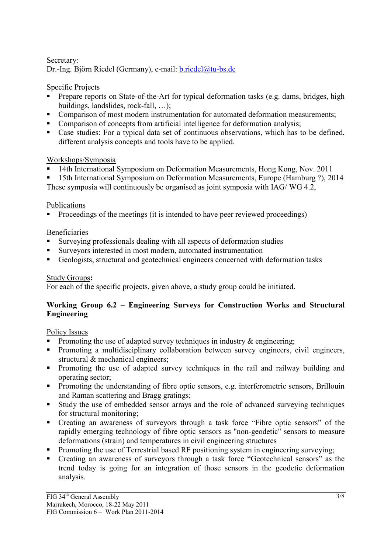## Secretary: Dr.-Ing. Björn Riedel (Germany), e-mail: b.riedel@tu-bs.de

## Specific Projects

- Prepare reports on State-of-the-Art for typical deformation tasks (e.g. dams, bridges, high buildings, landslides, rock-fall, …);
- Comparison of most modern instrumentation for automated deformation measurements;
- Comparison of concepts from artificial intelligence for deformation analysis;
- Case studies: For a typical data set of continuous observations, which has to be defined, different analysis concepts and tools have to be applied.

## Workshops/Symposia

<sup>14th</sup> International Symposium on Deformation Measurements, Hong Kong, Nov. 2011

15th International Symposium on Deformation Measurements, Europe (Hamburg ?), 2014

These symposia will continuously be organised as joint symposia with IAG/ WG 4.2,

## Publications

• Proceedings of the meetings (it is intended to have peer reviewed proceedings)

## Beneficiaries

- Surveying professionals dealing with all aspects of deformation studies
- Surveyors interested in most modern, automated instrumentation
- Geologists, structural and geotechnical engineers concerned with deformation tasks

## Study Groups**:**

For each of the specific projects, given above, a study group could be initiated.

## **Working Group 6.2 – Engineering Surveys for Construction Works and Structural Engineering**

## Policy Issues

- Promoting the use of adapted survey techniques in industry  $\&$  engineering;
- **Promoting a multidisciplinary collaboration between survey engineers, civil engineers,** structural & mechanical engineers;
- **Promoting the use of adapted survey techniques in the rail and railway building and** operating sector;
- **Promoting the understanding of fibre optic sensors, e.g. interferometric sensors, Brillouin** and Raman scattering and Bragg gratings;
- Study the use of embedded sensor arrays and the role of advanced surveying techniques for structural monitoring;
- Creating an awareness of surveyors through a task force "Fibre optic sensors" of the rapidly emerging technology of fibre optic sensors as "non-geodetic" sensors to measure deformations (strain) and temperatures in civil engineering structures
- **Promoting the use of Terrestrial based RF positioning system in engineering surveying:**
- Creating an awareness of surveyors through a task force "Geotechnical sensors" as the trend today is going for an integration of those sensors in the geodetic deformation analysis.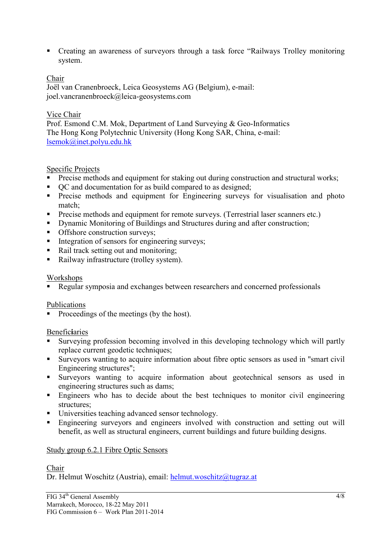Creating an awareness of surveyors through a task force "Railways Trolley monitoring system.

## Chair

Joël van Cranenbroeck, Leica Geosystems AG (Belgium), e-mail: joel.vancranenbroeck@leica-geosystems.com

## Vice Chair

Prof. Esmond C.M. Mok, Department of Land Surveying & Geo-Informatics The Hong Kong Polytechnic University (Hong Kong SAR, China, e-mail: lsemok@inet.polyu.edu.hk

## Specific Projects

- **Precise methods and equipment for staking out during construction and structural works;**
- $\bullet$  QC and documentation for as build compared to as designed;
- **Precise methods and equipment for Engineering surveys for visualisation and photo** match;
- **Precise methods and equipment for remote surveys. (Terrestrial laser scanners etc.)**
- Dynamic Monitoring of Buildings and Structures during and after construction;
- Offshore construction surveys;
- $\blacksquare$  Integration of sensors for engineering surveys:
- Rail track setting out and monitoring;
- Railway infrastructure (trolley system).

#### Workshops

Regular symposia and exchanges between researchers and concerned professionals

#### Publications

• Proceedings of the meetings (by the host).

#### Benefic**i**aries

- Surveying profession becoming involved in this developing technology which will partly replace current geodetic techniques;
- Surveyors wanting to acquire information about fibre optic sensors as used in "smart civil Engineering structures";
- Surveyors wanting to acquire information about geotechnical sensors as used in engineering structures such as dams;
- Engineers who has to decide about the best techniques to monitor civil engineering structures;
- Universities teaching advanced sensor technology.
- Engineering surveyors and engineers involved with construction and setting out will benefit, as well as structural engineers, current buildings and future building designs.

#### Study group 6.2.1 Fibre Optic Sensors

#### Chair

Dr. Helmut Woschitz (Austria), email: helmut.woschitz@tugraz.at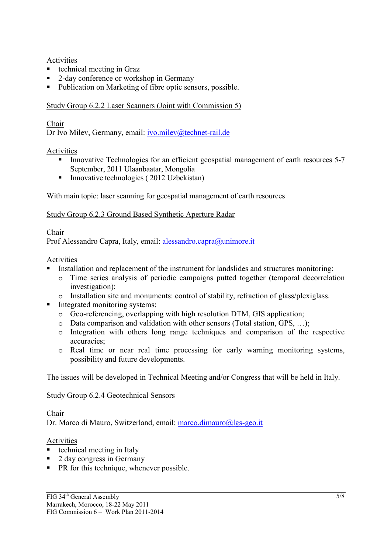#### Activities

- technical meeting in Graz
- 2-day conference or workshop in Germany
- Publication on Marketing of fibre optic sensors, possible.

## Study Group 6.2.2 Laser Scanners (Joint with Commission 5)

## Chair

Dr Ivo Milev, Germany, email: ivo.milev@technet-rail.de

## Activities

- Innovative Technologies for an efficient geospatial management of earth resources 5-7 September, 2011 Ulaanbaatar, Mongolia
- Innovative technologies (2012 Uzbekistan)

With main topic: laser scanning for geospatial management of earth resources

#### Study Group 6.2.3 Ground Based Synthetic Aperture Radar

#### Chair

Prof Alessandro Capra, Italy, email: alessandro.capra@unimore.it

#### Activities

- Installation and replacement of the instrument for landslides and structures monitoring:
	- o Time series analysis of periodic campaigns putted together (temporal decorrelation investigation);
	- o Installation site and monuments: control of stability, refraction of glass/plexiglass.
- Integrated monitoring systems:
	- o Geo-referencing, overlapping with high resolution DTM, GIS application;
	- o Data comparison and validation with other sensors (Total station, GPS, …);
	- o Integration with others long range techniques and comparison of the respective accuracies;
	- o Real time or near real time processing for early warning monitoring systems, possibility and future developments.

The issues will be developed in Technical Meeting and/or Congress that will be held in Italy.

## Study Group 6.2.4 Geotechnical Sensors

## Chair

Dr. Marco di Mauro, Switzerland, email: marco.dimauro@lgs-geo.it

#### Activities

- $\blacksquare$  technical meeting in Italy
- 2 day congress in Germany
- **PR** for this technique, whenever possible.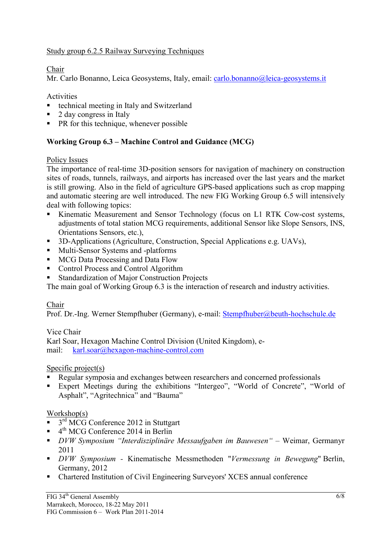## Study group 6.2.5 Railway Surveying Techniques

## Chair

Mr. Carlo Bonanno, Leica Geosystems, Italy, email: carlo.bonanno@leica-geosystems.it

Activities

- technical meeting in Italy and Switzerland
- 2 day congress in Italy
- **PR** for this technique, whenever possible

## **Working Group 6.3 – Machine Control and Guidance (MCG)**

## Policy Issues

The importance of real-time 3D-position sensors for navigation of machinery on construction sites of roads, tunnels, railways, and airports has increased over the last years and the market is still growing. Also in the field of agriculture GPS-based applications such as crop mapping and automatic steering are well introduced. The new FIG Working Group 6.5 will intensively deal with following topics:

- Kinematic Measurement and Sensor Technology (focus on L1 RTK Cow-cost systems, adjustments of total station MCG requirements, additional Sensor like Slope Sensors, INS, Orientations Sensors, etc.),
- <sup>3D</sup>-Applications (Agriculture, Construction, Special Applications e.g. UAVs),
- Multi-Sensor Systems and -platforms
- **MCG Data Processing and Data Flow**
- Control Process and Control Algorithm
- Standardization of Major Construction Projects

The main goal of Working Group 6.3 is the interaction of research and industry activities.

## Chair

Prof. Dr.-Ing. Werner Stempfhuber (Germany), e-mail: Stempfhuber@beuth-hochschule.de

## Vice Chair

Karl Soar, Hexagon Machine Control Division (United Kingdom), email: karl.soar@hexagon-machine-control.com

## Specific project(s)

- Regular symposia and exchanges between researchers and concerned professionals
- Expert Meetings during the exhibitions "Intergeo", "World of Concrete", "World of Asphalt", "Agritechnica" and "Bauma"

## Workshop(s)

- $\blacksquare$  3<sup>rd</sup> MCG Conference 2012 in Stuttgart
- $4<sup>th</sup> MCG Conference 2014 in Berlin$
- *DVW Symposium "Interdisziplinäre Messaufgaben im Bauwesen"* Weimar, Germanyr 2011
- *DVW Symposium* Kinematische Messmethoden "*Vermessung in Bewegung*" Berlin, Germany, 2012
- Chartered Institution of Civil Engineering Surveyors' XCES annual conference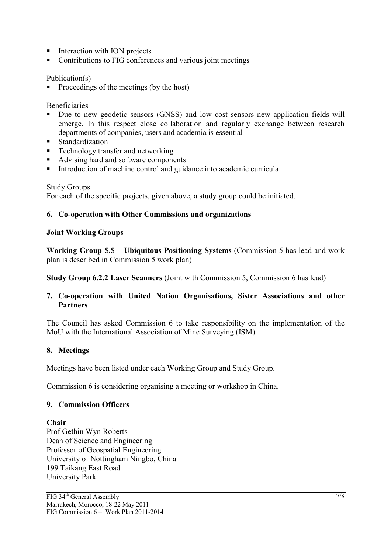- $\blacksquare$  Interaction with ION projects
- Contributions to FIG conferences and various joint meetings

#### Publication(s)

• Proceedings of the meetings (by the host)

#### Beneficiaries

- Due to new geodetic sensors (GNSS) and low cost sensors new application fields will emerge. In this respect close collaboration and regularly exchange between research departments of companies, users and academia is essential
- Standardization
- Technology transfer and networking
- Advising hard and software components
- Introduction of machine control and guidance into academic curricula

#### Study Groups

For each of the specific projects, given above, a study group could be initiated.

#### **6. Co-operation with Other Commissions and organizations**

#### **Joint Working Groups**

**Working Group 5.5 – Ubiquitous Positioning Systems** (Commission 5 has lead and work plan is described in Commission 5 work plan)

**Study Group 6.2.2 Laser Scanners** (Joint with Commission 5, Commission 6 has lead)

#### **7. Co-operation with United Nation Organisations, Sister Associations and other Partners**

The Council has asked Commission 6 to take responsibility on the implementation of the MoU with the International Association of Mine Surveying (ISM).

#### **8. Meetings**

Meetings have been listed under each Working Group and Study Group.

Commission 6 is considering organising a meeting or workshop in China.

#### **9. Commission Officers**

#### **Chair**

Prof Gethin Wyn Roberts Dean of Science and Engineering Professor of Geospatial Engineering University of Nottingham Ningbo, China 199 Taikang East Road University Park